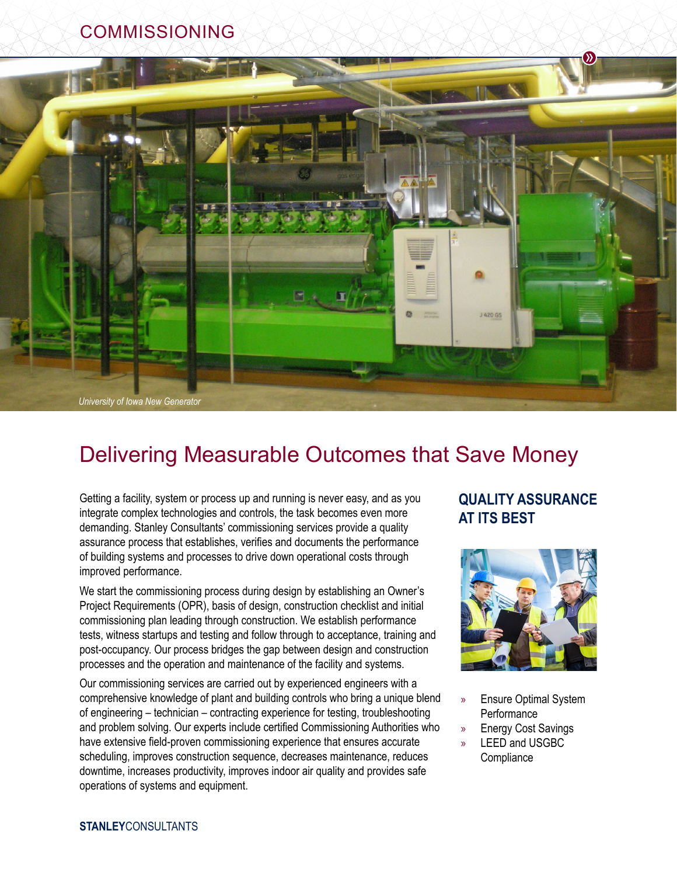## COMMISSIONING



# Delivering Measurable Outcomes that Save Money

Getting a facility, system or process up and running is never easy, and as you integrate complex technologies and controls, the task becomes even more demanding. Stanley Consultants' commissioning services provide a quality assurance process that establishes, verifies and documents the performance of building systems and processes to drive down operational costs through improved performance.

We start the commissioning process during design by establishing an Owner's Project Requirements (OPR), basis of design, construction checklist and initial commissioning plan leading through construction. We establish performance tests, witness startups and testing and follow through to acceptance, training and post-occupancy. Our process bridges the gap between design and construction processes and the operation and maintenance of the facility and systems.

Our commissioning services are carried out by experienced engineers with a comprehensive knowledge of plant and building controls who bring a unique blend of engineering – technician – contracting experience for testing, troubleshooting and problem solving. Our experts include certified Commissioning Authorities who have extensive field-proven commissioning experience that ensures accurate scheduling, improves construction sequence, decreases maintenance, reduces downtime, increases productivity, improves indoor air quality and provides safe operations of systems and equipment.

## **QUALITY ASSURANCE AT ITS BEST**



- » Ensure Optimal System **Performance**
- » Energy Cost Savings
- » LEED and USGBC **Compliance**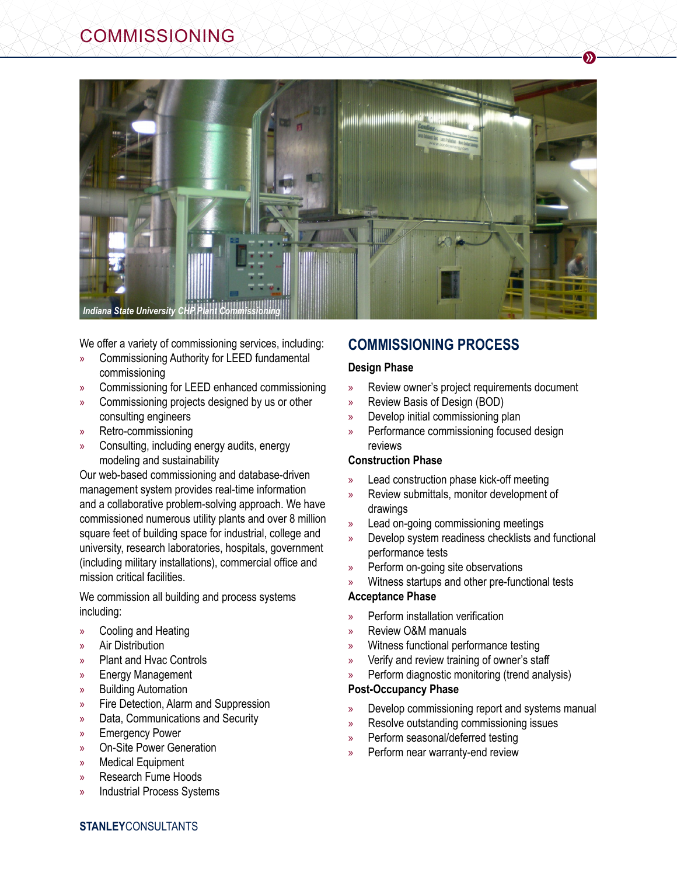

We offer a variety of commissioning services, including:

- » Commissioning Authority for LEED fundamental commissioning
- » Commissioning for LEED enhanced commissioning
- » Commissioning projects designed by us or other consulting engineers
- » Retro-commissioning
- » Consulting, including energy audits, energy modeling and sustainability

Our web-based commissioning and database-driven management system provides real-time information and a collaborative problem-solving approach. We have commissioned numerous utility plants and over 8 million square feet of building space for industrial, college and university, research laboratories, hospitals, government (including military installations), commercial office and mission critical facilities.

We commission all building and process systems including:

- » Cooling and Heating
- » Air Distribution
- » Plant and Hvac Controls
- » Energy Management
- » Building Automation
- » Fire Detection, Alarm and Suppression
- » Data, Communications and Security
- » Emergency Power
- » On-Site Power Generation
- » Medical Equipment
- » Research Fume Hoods
- » Industrial Process Systems

### **COMMISSIONING PROCESS**

#### **Design Phase**

» Review owner's project requirements document

 $\mathcal{Y}$ 

- » Review Basis of Design (BOD)
- » Develop initial commissioning plan
- » Performance commissioning focused design reviews

#### **Construction Phase**

- » Lead construction phase kick-off meeting
- » Review submittals, monitor development of drawings
- » Lead on-going commissioning meetings
- » Develop system readiness checklists and functional performance tests
- » Perform on-going site observations
- » Witness startups and other pre-functional tests

#### **Acceptance Phase**

- » Perform installation verification
- » Review O&M manuals
- » Witness functional performance testing
- » Verify and review training of owner's staff
- » Perform diagnostic monitoring (trend analysis)

#### **Post-Occupancy Phase**

- » Develop commissioning report and systems manual
- » Resolve outstanding commissioning issues
- » Perform seasonal/deferred testing
- » Perform near warranty-end review

**STANLEY**CONSULTANTS